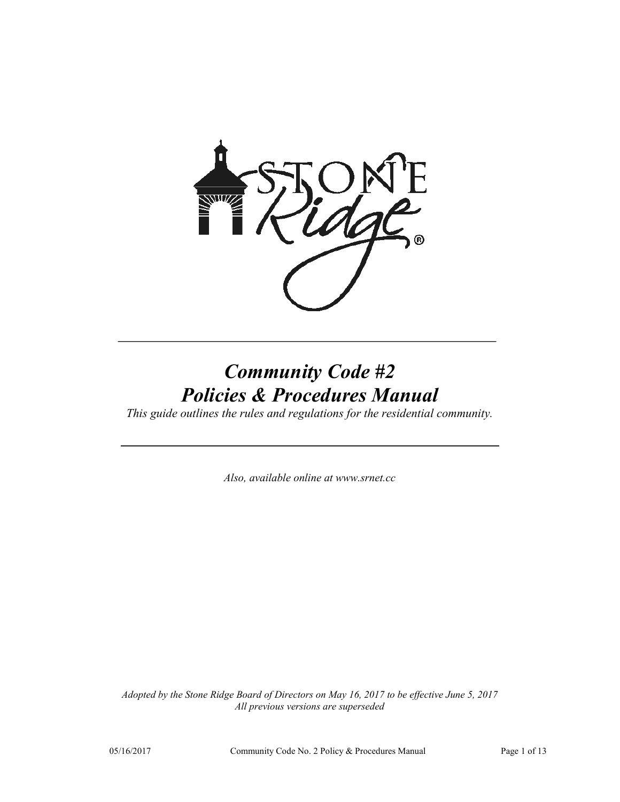

# *Community Code #2 Policies & Procedures Manual*

*This guide outlines the rules and regulations for the residential community.* 

*Also, available online at www.srnet.cc*

*Adopted by the Stone Ridge Board of Directors on May 16, 2017 to be effective June 5, 2017 All previous versions are superseded*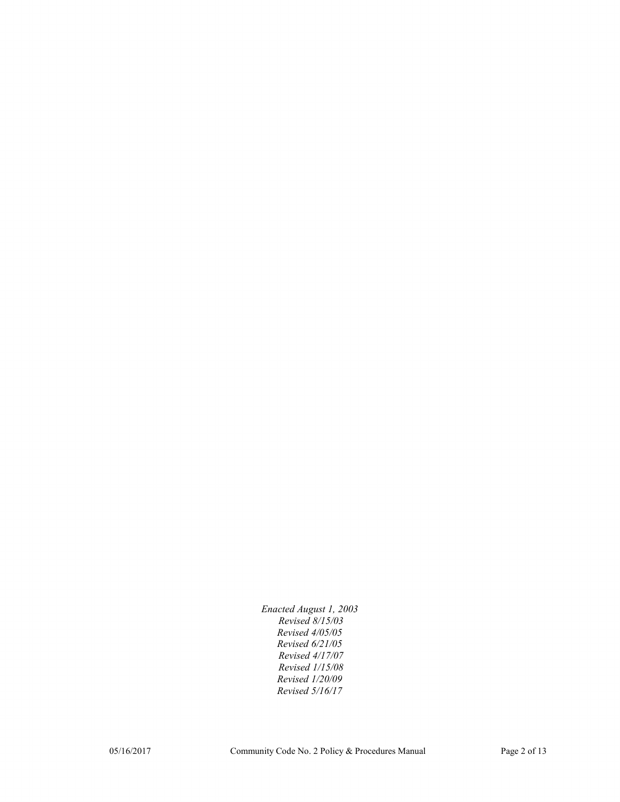*Enacted August 1, 2003 Revised 8/15/03 Revised 4/05/05 Revised 6/21/05 Revised 4/17/07 Revised 1/15/08 Revised 1/20/09 Revised 5/16/17*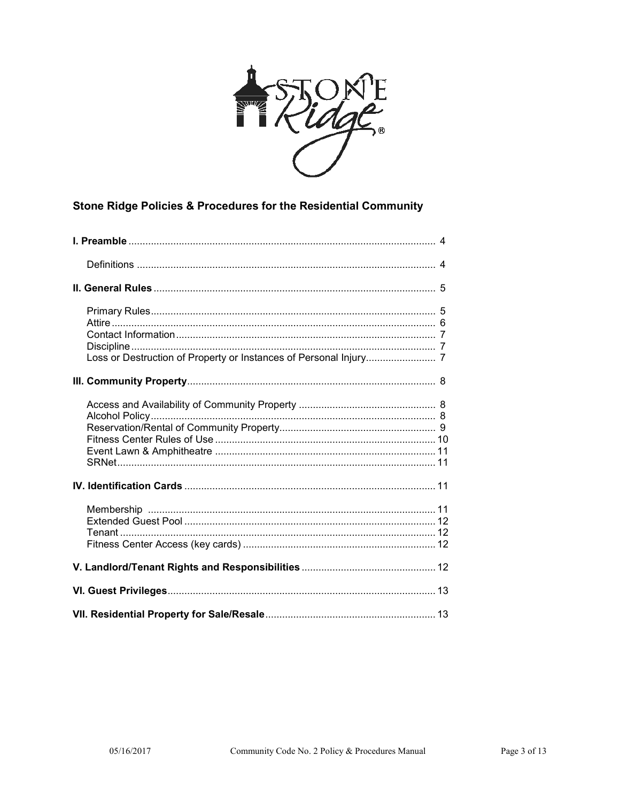

# Stone Ridge Policies & Procedures for the Residential Community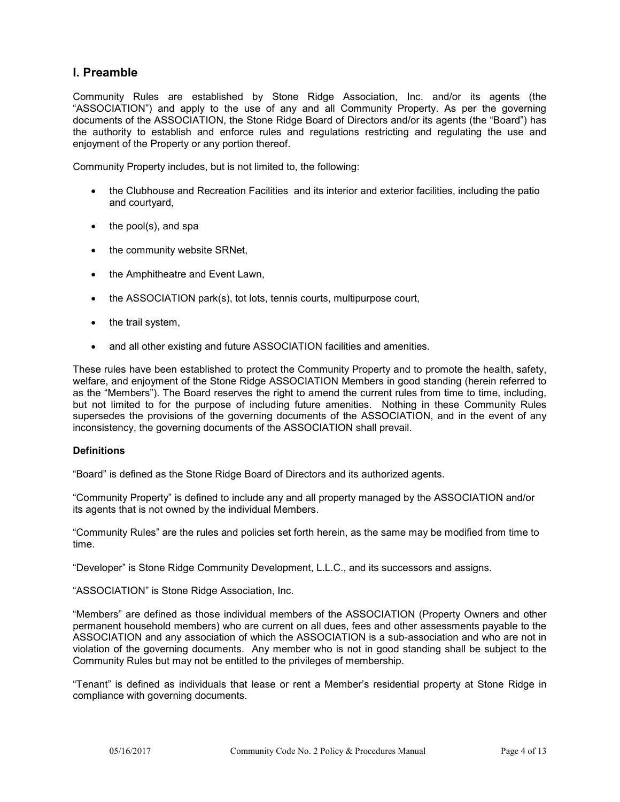# **I. Preamble**

Community Rules are established by Stone Ridge Association, Inc. and/or its agents (the "ASSOCIATION") and apply to the use of any and all Community Property. As per the governing documents of the ASSOCIATION, the Stone Ridge Board of Directors and/or its agents (the "Board") has the authority to establish and enforce rules and regulations restricting and regulating the use and enjoyment of the Property or any portion thereof.

Community Property includes, but is not limited to, the following:

- the Clubhouse and Recreation Facilities and its interior and exterior facilities, including the patio and courtyard,
- the pool(s), and spa
- the community website SRNet,
- the Amphitheatre and Event Lawn,
- the ASSOCIATION park(s), tot lots, tennis courts, multipurpose court,
- the trail system,
- and all other existing and future ASSOCIATION facilities and amenities.

These rules have been established to protect the Community Property and to promote the health, safety, welfare, and enjoyment of the Stone Ridge ASSOCIATION Members in good standing (herein referred to as the "Members"). The Board reserves the right to amend the current rules from time to time, including, but not limited to for the purpose of including future amenities. Nothing in these Community Rules supersedes the provisions of the governing documents of the ASSOCIATION, and in the event of any inconsistency, the governing documents of the ASSOCIATION shall prevail.

#### **Definitions**

"Board" is defined as the Stone Ridge Board of Directors and its authorized agents.

"Community Property" is defined to include any and all property managed by the ASSOCIATION and/or its agents that is not owned by the individual Members.

"Community Rules" are the rules and policies set forth herein, as the same may be modified from time to time.

"Developer" is Stone Ridge Community Development, L.L.C., and its successors and assigns.

"ASSOCIATION" is Stone Ridge Association, Inc.

"Members" are defined as those individual members of the ASSOCIATION (Property Owners and other permanent household members) who are current on all dues, fees and other assessments payable to the ASSOCIATION and any association of which the ASSOCIATION is a sub-association and who are not in violation of the governing documents.Any member who is not in good standing shall be subject to the Community Rules but may not be entitled to the privileges of membership.

"Tenant" is defined as individuals that lease or rent a Member's residential property at Stone Ridge in compliance with governing documents.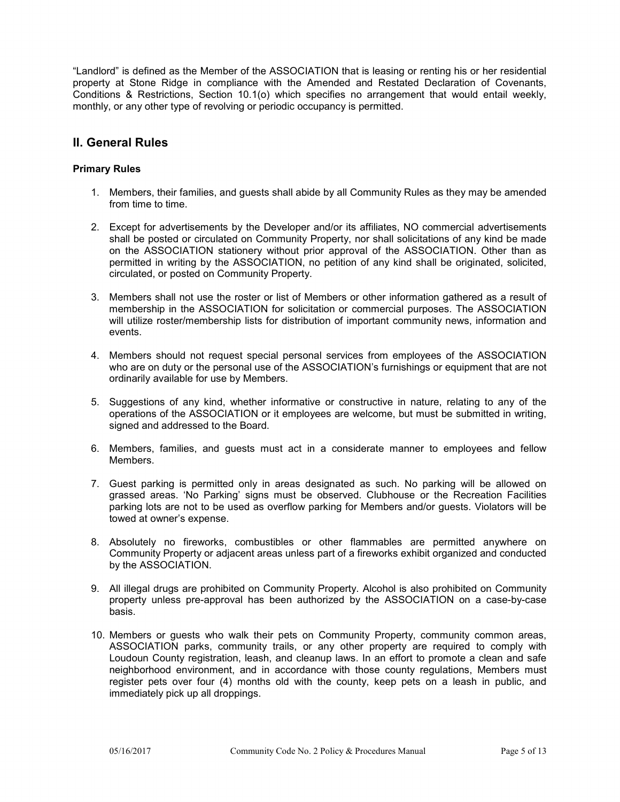"Landlord" is defined as the Member of the ASSOCIATION that is leasing or renting his or her residential property at Stone Ridge in compliance with the Amended and Restated Declaration of Covenants, Conditions & Restrictions, Section 10.1(o) which specifies no arrangement that would entail weekly, monthly, or any other type of revolving or periodic occupancy is permitted.

## **II. General Rules**

#### **Primary Rules**

- 1. Members, their families, and guests shall abide by all Community Rules as they may be amended from time to time.
- 2. Except for advertisements by the Developer and/or its affiliates, NO commercial advertisements shall be posted or circulated on Community Property, nor shall solicitations of any kind be made on the ASSOCIATION stationery without prior approval of the ASSOCIATION. Other than as permitted in writing by the ASSOCIATION, no petition of any kind shall be originated, solicited, circulated, or posted on Community Property.
- 3. Members shall not use the roster or list of Members or other information gathered as a result of membership in the ASSOCIATION for solicitation or commercial purposes. The ASSOCIATION will utilize roster/membership lists for distribution of important community news, information and events.
- 4. Members should not request special personal services from employees of the ASSOCIATION who are on duty or the personal use of the ASSOCIATION's furnishings or equipment that are not ordinarily available for use by Members.
- 5. Suggestions of any kind, whether informative or constructive in nature, relating to any of the operations of the ASSOCIATION or it employees are welcome, but must be submitted in writing, signed and addressed to the Board.
- 6. Members, families, and guests must act in a considerate manner to employees and fellow Members.
- 7. Guest parking is permitted only in areas designated as such. No parking will be allowed on grassed areas. 'No Parking' signs must be observed. Clubhouse or the Recreation Facilities parking lots are not to be used as overflow parking for Members and/or guests. Violators will be towed at owner's expense.
- 8. Absolutely no fireworks, combustibles or other flammables are permitted anywhere on Community Property or adjacent areas unless part of a fireworks exhibit organized and conducted by the ASSOCIATION.
- 9. All illegal drugs are prohibited on Community Property. Alcohol is also prohibited on Community property unless pre-approval has been authorized by the ASSOCIATION on a case-by-case basis.
- 10. Members or guests who walk their pets on Community Property, community common areas, ASSOCIATION parks, community trails, or any other property are required to comply with Loudoun County registration, leash, and cleanup laws. In an effort to promote a clean and safe neighborhood environment, and in accordance with those county regulations, Members must register pets over four (4) months old with the county, keep pets on a leash in public, and immediately pick up all droppings.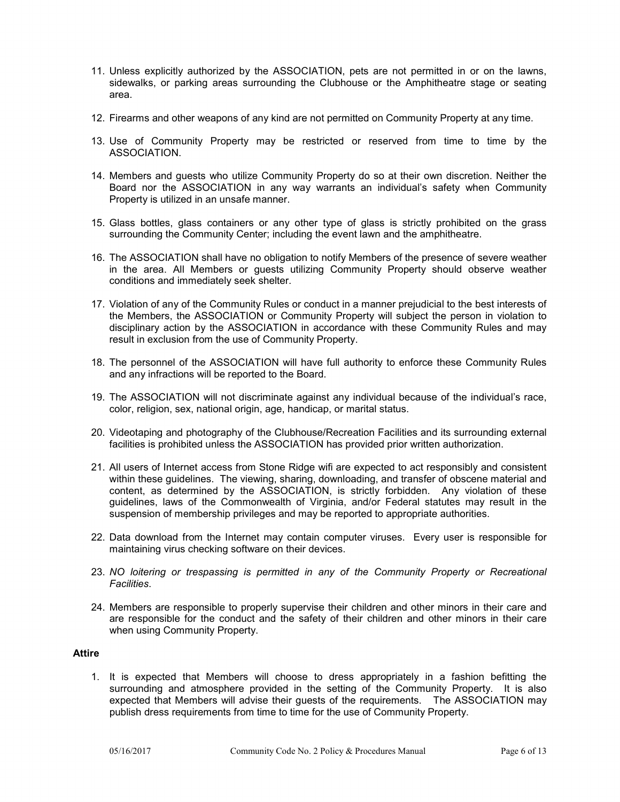- 11. Unless explicitly authorized by the ASSOCIATION, pets are not permitted in or on the lawns, sidewalks, or parking areas surrounding the Clubhouse or the Amphitheatre stage or seating area.
- 12. Firearms and other weapons of any kind are not permitted on Community Property at any time.
- 13. Use of Community Property may be restricted or reserved from time to time by the ASSOCIATION.
- 14. Members and guests who utilize Community Property do so at their own discretion. Neither the Board nor the ASSOCIATION in any way warrants an individual's safety when Community Property is utilized in an unsafe manner.
- 15. Glass bottles, glass containers or any other type of glass is strictly prohibited on the grass surrounding the Community Center; including the event lawn and the amphitheatre.
- 16. The ASSOCIATION shall have no obligation to notify Members of the presence of severe weather in the area. All Members or guests utilizing Community Property should observe weather conditions and immediately seek shelter.
- 17. Violation of any of the Community Rules or conduct in a manner prejudicial to the best interests of the Members, the ASSOCIATION or Community Property will subject the person in violation to disciplinary action by the ASSOCIATION in accordance with these Community Rules and may result in exclusion from the use of Community Property.
- 18. The personnel of the ASSOCIATION will have full authority to enforce these Community Rules and any infractions will be reported to the Board.
- 19. The ASSOCIATION will not discriminate against any individual because of the individual's race, color, religion, sex, national origin, age, handicap, or marital status.
- 20. Videotaping and photography of the Clubhouse/Recreation Facilities and its surrounding external facilities is prohibited unless the ASSOCIATION has provided prior written authorization.
- 21. All users of Internet access from Stone Ridge wifi are expected to act responsibly and consistent within these guidelines. The viewing, sharing, downloading, and transfer of obscene material and content, as determined by the ASSOCIATION, is strictly forbidden. Any violation of these guidelines, laws of the Commonwealth of Virginia, and/or Federal statutes may result in the suspension of membership privileges and may be reported to appropriate authorities.
- 22. Data download from the Internet may contain computer viruses. Every user is responsible for maintaining virus checking software on their devices.
- 23. *NO loitering or trespassing is permitted in any of the Community Property or Recreational Facilities*.
- 24. Members are responsible to properly supervise their children and other minors in their care and are responsible for the conduct and the safety of their children and other minors in their care when using Community Property.

#### **Attire**

1. It is expected that Members will choose to dress appropriately in a fashion befitting the surrounding and atmosphere provided in the setting of the Community Property. It is also expected that Members will advise their guests of the requirements. The ASSOCIATION may publish dress requirements from time to time for the use of Community Property.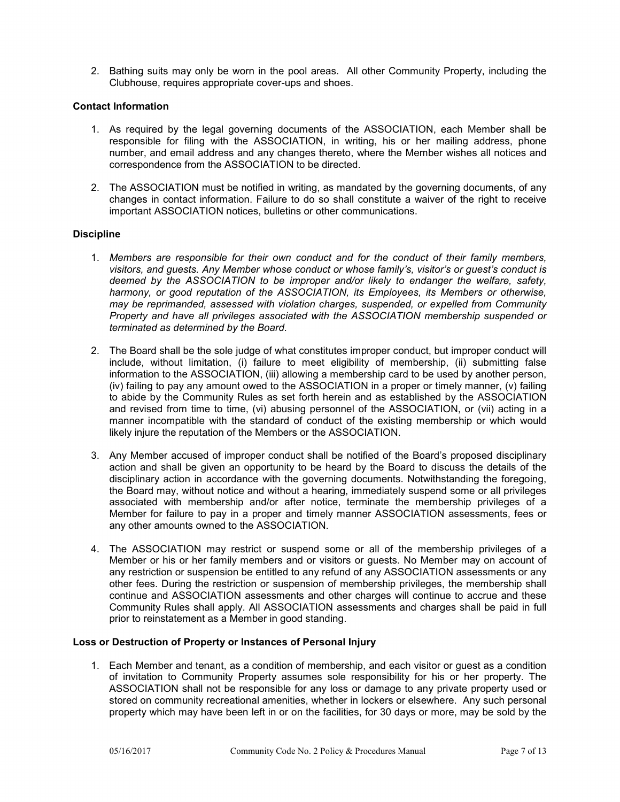2. Bathing suits may only be worn in the pool areas. All other Community Property, including the Clubhouse, requires appropriate cover-ups and shoes.

#### **Contact Information**

- 1. As required by the legal governing documents of the ASSOCIATION, each Member shall be responsible for filing with the ASSOCIATION, in writing, his or her mailing address, phone number, and email address and any changes thereto, where the Member wishes all notices and correspondence from the ASSOCIATION to be directed.
- 2. The ASSOCIATION must be notified in writing, as mandated by the governing documents, of any changes in contact information. Failure to do so shall constitute a waiver of the right to receive important ASSOCIATION notices, bulletins or other communications.

#### **Discipline**

- 1. *Members are responsible for their own conduct and for the conduct of their family members, visitors, and guests. Any Member whose conduct or whose family's, visitor's or guest's conduct is deemed by the ASSOCIATION to be improper and/or likely to endanger the welfare, safety, harmony, or good reputation of the ASSOCIATION, its Employees, its Members or otherwise, may be reprimanded, assessed with violation charges, suspended, or expelled from Community Property and have all privileges associated with the ASSOCIATION membership suspended or terminated as determined by the Board*.
- 2. The Board shall be the sole judge of what constitutes improper conduct, but improper conduct will include, without limitation, (i) failure to meet eligibility of membership, (ii) submitting false information to the ASSOCIATION, (iii) allowing a membership card to be used by another person, (iv) failing to pay any amount owed to the ASSOCIATION in a proper or timely manner, (v) failing to abide by the Community Rules as set forth herein and as established by the ASSOCIATION and revised from time to time, (vi) abusing personnel of the ASSOCIATION, or (vii) acting in a manner incompatible with the standard of conduct of the existing membership or which would likely injure the reputation of the Members or the ASSOCIATION.
- 3. Any Member accused of improper conduct shall be notified of the Board's proposed disciplinary action and shall be given an opportunity to be heard by the Board to discuss the details of the disciplinary action in accordance with the governing documents. Notwithstanding the foregoing, the Board may, without notice and without a hearing, immediately suspend some or all privileges associated with membership and/or after notice, terminate the membership privileges of a Member for failure to pay in a proper and timely manner ASSOCIATION assessments, fees or any other amounts owned to the ASSOCIATION.
- 4. The ASSOCIATION may restrict or suspend some or all of the membership privileges of a Member or his or her family members and or visitors or guests. No Member may on account of any restriction or suspension be entitled to any refund of any ASSOCIATION assessments or any other fees. During the restriction or suspension of membership privileges, the membership shall continue and ASSOCIATION assessments and other charges will continue to accrue and these Community Rules shall apply. All ASSOCIATION assessments and charges shall be paid in full prior to reinstatement as a Member in good standing.

#### **Loss or Destruction of Property or Instances of Personal Injury**

1. Each Member and tenant, as a condition of membership, and each visitor or guest as a condition of invitation to Community Property assumes sole responsibility for his or her property. The ASSOCIATION shall not be responsible for any loss or damage to any private property used or stored on community recreational amenities, whether in lockers or elsewhere. Any such personal property which may have been left in or on the facilities, for 30 days or more, may be sold by the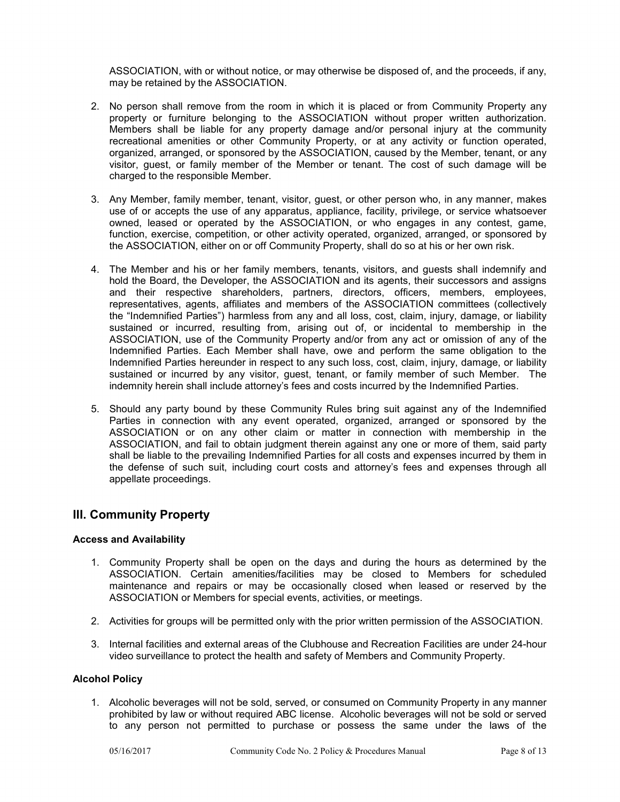ASSOCIATION, with or without notice, or may otherwise be disposed of, and the proceeds, if any, may be retained by the ASSOCIATION.

- 2. No person shall remove from the room in which it is placed or from Community Property any property or furniture belonging to the ASSOCIATION without proper written authorization. Members shall be liable for any property damage and/or personal injury at the community recreational amenities or other Community Property, or at any activity or function operated, organized, arranged, or sponsored by the ASSOCIATION, caused by the Member, tenant, or any visitor, guest, or family member of the Member or tenant. The cost of such damage will be charged to the responsible Member.
- 3. Any Member, family member, tenant, visitor, guest, or other person who, in any manner, makes use of or accepts the use of any apparatus, appliance, facility, privilege, or service whatsoever owned, leased or operated by the ASSOCIATION, or who engages in any contest, game, function, exercise, competition, or other activity operated, organized, arranged, or sponsored by the ASSOCIATION, either on or off Community Property, shall do so at his or her own risk.
- 4. The Member and his or her family members, tenants, visitors, and guests shall indemnify and hold the Board, the Developer, the ASSOCIATION and its agents, their successors and assigns and their respective shareholders, partners, directors, officers, members, employees, representatives, agents, affiliates and members of the ASSOCIATION committees (collectively the "Indemnified Parties") harmless from any and all loss, cost, claim, injury, damage, or liability sustained or incurred, resulting from, arising out of, or incidental to membership in the ASSOCIATION, use of the Community Property and/or from any act or omission of any of the Indemnified Parties. Each Member shall have, owe and perform the same obligation to the Indemnified Parties hereunder in respect to any such loss, cost, claim, injury, damage, or liability sustained or incurred by any visitor, guest, tenant, or family member of such Member. The indemnity herein shall include attorney's fees and costs incurred by the Indemnified Parties.
- 5. Should any party bound by these Community Rules bring suit against any of the Indemnified Parties in connection with any event operated, organized, arranged or sponsored by the ASSOCIATION or on any other claim or matter in connection with membership in the ASSOCIATION, and fail to obtain judgment therein against any one or more of them, said party shall be liable to the prevailing Indemnified Parties for all costs and expenses incurred by them in the defense of such suit, including court costs and attorney's fees and expenses through all appellate proceedings.

## **III. Community Property**

#### **Access and Availability**

- 1. Community Property shall be open on the days and during the hours as determined by the ASSOCIATION. Certain amenities/facilities may be closed to Members for scheduled maintenance and repairs or may be occasionally closed when leased or reserved by the ASSOCIATION or Members for special events, activities, or meetings.
- 2. Activities for groups will be permitted only with the prior written permission of the ASSOCIATION.
- 3. Internal facilities and external areas of the Clubhouse and Recreation Facilities are under 24-hour video surveillance to protect the health and safety of Members and Community Property.

#### **Alcohol Policy**

1. Alcoholic beverages will not be sold, served, or consumed on Community Property in any manner prohibited by law or without required ABC license. Alcoholic beverages will not be sold or served to any person not permitted to purchase or possess the same under the laws of the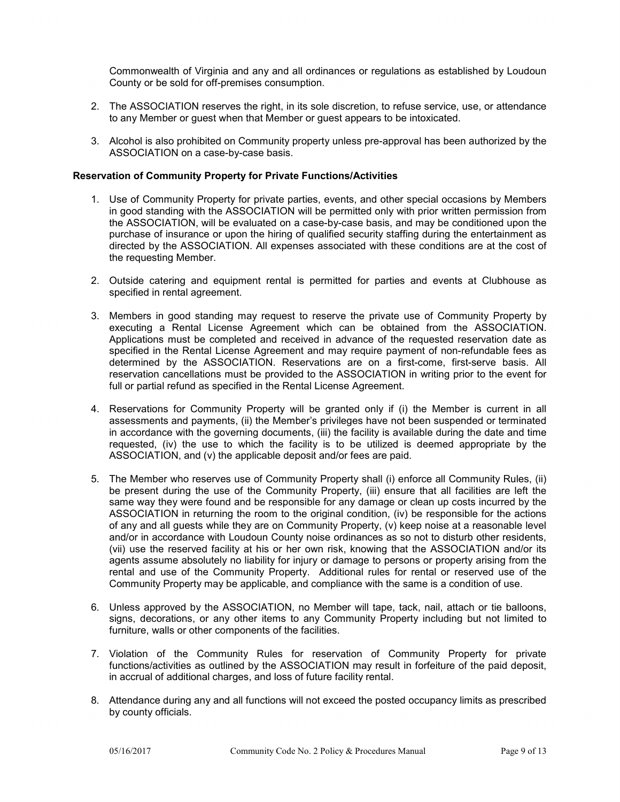Commonwealth of Virginia and any and all ordinances or regulations as established by Loudoun County or be sold for off-premises consumption.

- 2. The ASSOCIATION reserves the right, in its sole discretion, to refuse service, use, or attendance to any Member or guest when that Member or guest appears to be intoxicated.
- 3. Alcohol is also prohibited on Community property unless pre-approval has been authorized by the ASSOCIATION on a case-by-case basis.

#### **Reservation of Community Property for Private Functions/Activities**

- 1. Use of Community Property for private parties, events, and other special occasions by Members in good standing with the ASSOCIATION will be permitted only with prior written permission from the ASSOCIATION, will be evaluated on a case-by-case basis, and may be conditioned upon the purchase of insurance or upon the hiring of qualified security staffing during the entertainment as directed by the ASSOCIATION. All expenses associated with these conditions are at the cost of the requesting Member.
- 2. Outside catering and equipment rental is permitted for parties and events at Clubhouse as specified in rental agreement.
- 3. Members in good standing may request to reserve the private use of Community Property by executing a Rental License Agreement which can be obtained from the ASSOCIATION. Applications must be completed and received in advance of the requested reservation date as specified in the Rental License Agreement and may require payment of non-refundable fees as determined by the ASSOCIATION. Reservations are on a first-come, first-serve basis. All reservation cancellations must be provided to the ASSOCIATION in writing prior to the event for full or partial refund as specified in the Rental License Agreement.
- 4. Reservations for Community Property will be granted only if (i) the Member is current in all assessments and payments, (ii) the Member's privileges have not been suspended or terminated in accordance with the governing documents, (iii) the facility is available during the date and time requested, (iv) the use to which the facility is to be utilized is deemed appropriate by the ASSOCIATION, and (v) the applicable deposit and/or fees are paid.
- 5. The Member who reserves use of Community Property shall (i) enforce all Community Rules, (ii) be present during the use of the Community Property, (iii) ensure that all facilities are left the same way they were found and be responsible for any damage or clean up costs incurred by the ASSOCIATION in returning the room to the original condition, (iv) be responsible for the actions of any and all guests while they are on Community Property, (v) keep noise at a reasonable level and/or in accordance with Loudoun County noise ordinances as so not to disturb other residents, (vii) use the reserved facility at his or her own risk, knowing that the ASSOCIATION and/or its agents assume absolutely no liability for injury or damage to persons or property arising from the rental and use of the Community Property. Additional rules for rental or reserved use of the Community Property may be applicable, and compliance with the same is a condition of use.
- 6. Unless approved by the ASSOCIATION, no Member will tape, tack, nail, attach or tie balloons, signs, decorations, or any other items to any Community Property including but not limited to furniture, walls or other components of the facilities.
- 7. Violation of the Community Rules for reservation of Community Property for private functions/activities as outlined by the ASSOCIATION may result in forfeiture of the paid deposit, in accrual of additional charges, and loss of future facility rental.
- 8. Attendance during any and all functions will not exceed the posted occupancy limits as prescribed by county officials.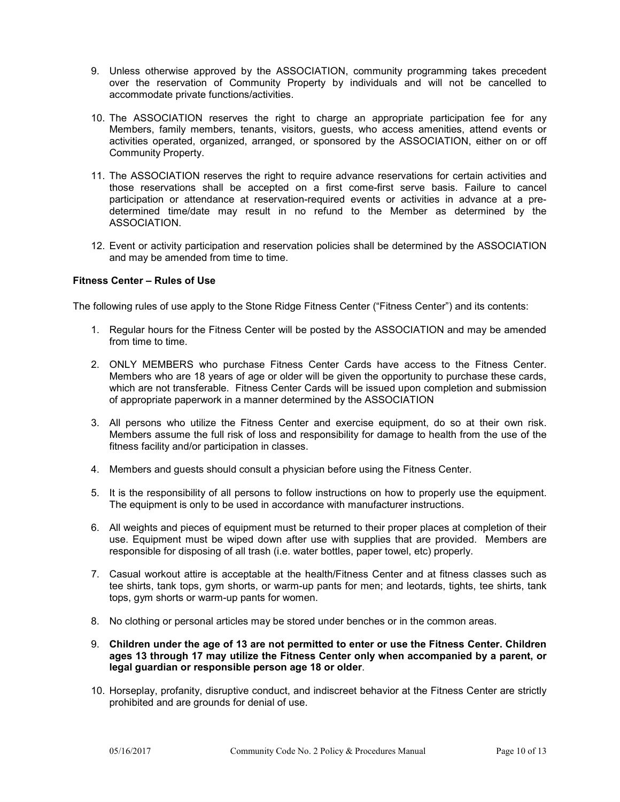- 9. Unless otherwise approved by the ASSOCIATION, community programming takes precedent over the reservation of Community Property by individuals and will not be cancelled to accommodate private functions/activities.
- 10. The ASSOCIATION reserves the right to charge an appropriate participation fee for any Members, family members, tenants, visitors, guests, who access amenities, attend events or activities operated, organized, arranged, or sponsored by the ASSOCIATION, either on or off Community Property.
- 11. The ASSOCIATION reserves the right to require advance reservations for certain activities and those reservations shall be accepted on a first come-first serve basis. Failure to cancel participation or attendance at reservation-required events or activities in advance at a predetermined time/date may result in no refund to the Member as determined by the ASSOCIATION.
- 12. Event or activity participation and reservation policies shall be determined by the ASSOCIATION and may be amended from time to time.

#### **Fitness Center – Rules of Use**

The following rules of use apply to the Stone Ridge Fitness Center ("Fitness Center") and its contents:

- 1. Regular hours for the Fitness Center will be posted by the ASSOCIATION and may be amended from time to time.
- 2. ONLY MEMBERS who purchase Fitness Center Cards have access to the Fitness Center. Members who are 18 years of age or older will be given the opportunity to purchase these cards, which are not transferable. Fitness Center Cards will be issued upon completion and submission of appropriate paperwork in a manner determined by the ASSOCIATION
- 3. All persons who utilize the Fitness Center and exercise equipment, do so at their own risk. Members assume the full risk of loss and responsibility for damage to health from the use of the fitness facility and/or participation in classes.
- 4. Members and guests should consult a physician before using the Fitness Center.
- 5. It is the responsibility of all persons to follow instructions on how to properly use the equipment. The equipment is only to be used in accordance with manufacturer instructions.
- 6. All weights and pieces of equipment must be returned to their proper places at completion of their use. Equipment must be wiped down after use with supplies that are provided. Members are responsible for disposing of all trash (i.e. water bottles, paper towel, etc) properly.
- 7. Casual workout attire is acceptable at the health/Fitness Center and at fitness classes such as tee shirts, tank tops, gym shorts, or warm-up pants for men; and leotards, tights, tee shirts, tank tops, gym shorts or warm-up pants for women.
- 8. No clothing or personal articles may be stored under benches or in the common areas.
- 9. **Children under the age of 13 are not permitted to enter or use the Fitness Center. Children ages 13 through 17 may utilize the Fitness Center only when accompanied by a parent, or legal guardian or responsible person age 18 or older**.
- 10. Horseplay, profanity, disruptive conduct, and indiscreet behavior at the Fitness Center are strictly prohibited and are grounds for denial of use.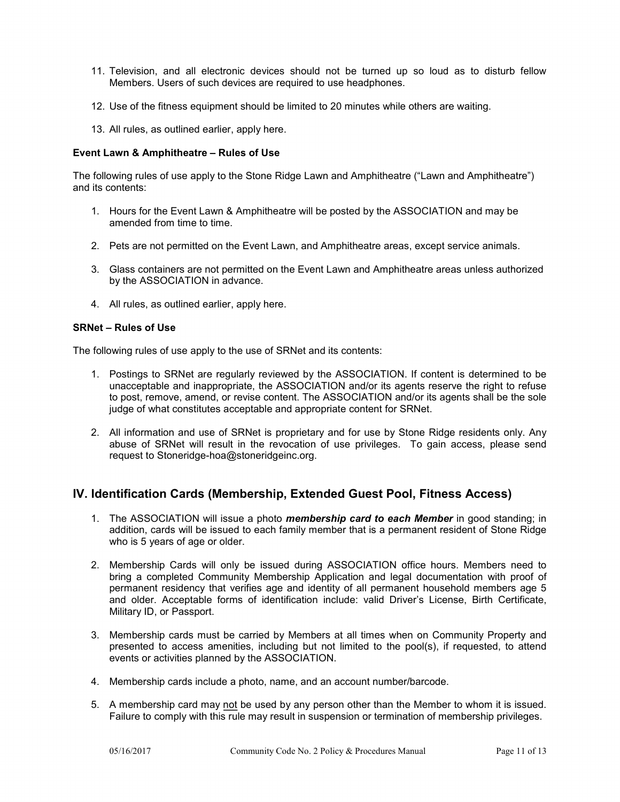- 11. Television, and all electronic devices should not be turned up so loud as to disturb fellow Members. Users of such devices are required to use headphones.
- 12. Use of the fitness equipment should be limited to 20 minutes while others are waiting.
- 13. All rules, as outlined earlier, apply here.

#### **Event Lawn & Amphitheatre – Rules of Use**

The following rules of use apply to the Stone Ridge Lawn and Amphitheatre ("Lawn and Amphitheatre") and its contents:

- 1. Hours for the Event Lawn & Amphitheatre will be posted by the ASSOCIATION and may be amended from time to time.
- 2. Pets are not permitted on the Event Lawn, and Amphitheatre areas, except service animals.
- 3. Glass containers are not permitted on the Event Lawn and Amphitheatre areas unless authorized by the ASSOCIATION in advance.
- 4. All rules, as outlined earlier, apply here.

#### **SRNet – Rules of Use**

The following rules of use apply to the use of SRNet and its contents:

- 1. Postings to SRNet are regularly reviewed by the ASSOCIATION. If content is determined to be unacceptable and inappropriate, the ASSOCIATION and/or its agents reserve the right to refuse to post, remove, amend, or revise content. The ASSOCIATION and/or its agents shall be the sole judge of what constitutes acceptable and appropriate content for SRNet.
- 2. All information and use of SRNet is proprietary and for use by Stone Ridge residents only. Any abuse of SRNet will result in the revocation of use privileges. To gain access, please send request to Stoneridge-hoa@stoneridgeinc.org.

## **IV. Identification Cards (Membership, Extended Guest Pool, Fitness Access)**

- 1. The ASSOCIATION will issue a photo *membership card to each Member* in good standing; in addition, cards will be issued to each family member that is a permanent resident of Stone Ridge who is 5 years of age or older.
- 2. Membership Cards will only be issued during ASSOCIATION office hours. Members need to bring a completed Community Membership Application and legal documentation with proof of permanent residency that verifies age and identity of all permanent household members age 5 and older. Acceptable forms of identification include: valid Driver's License, Birth Certificate, Military ID, or Passport.
- 3. Membership cards must be carried by Members at all times when on Community Property and presented to access amenities, including but not limited to the pool(s), if requested, to attend events or activities planned by the ASSOCIATION.
- 4. Membership cards include a photo, name, and an account number/barcode.
- 5. A membership card may <u>not</u> be used by any person other than the Member to whom it is issued.<br>Failure to comply with this rule may result in suspension or termination of membership privileges.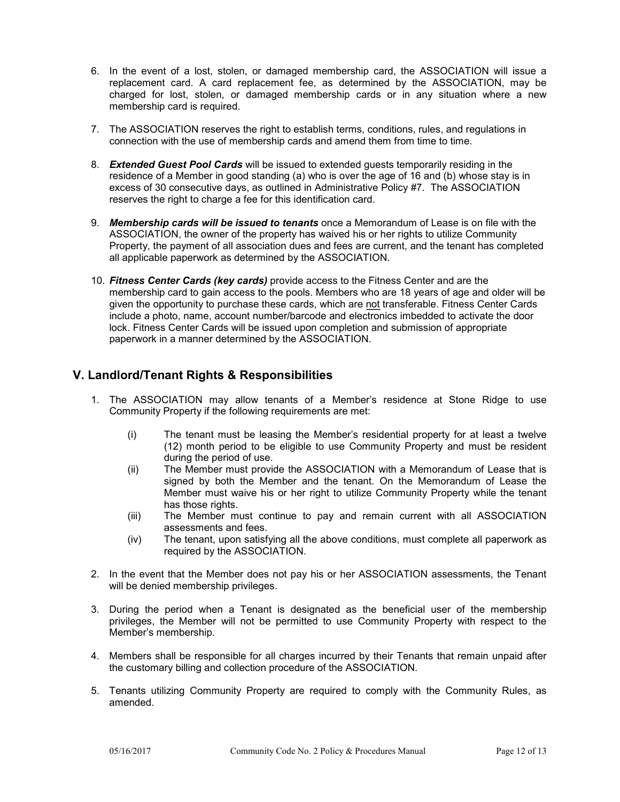- 6. In the event of a lost, stolen, or damaged membership card, the ASSOCIATION will issue a replacement card. A card replacement fee, as determined by the ASSOCIATION, may be charged for lost, stolen, or damaged membership cards or in any situation where a new membership card is required.
- 7. The ASSOCIATION reserves the right to establish terms, conditions, rules, and regulations in connection with the use of membership cards and amend them from time to time.
- 8. *Extended Guest Pool Cards* will be issued to extended guests temporarily residing in the residence of a Member in good standing (a) who is over the age of 16 and (b) whose stay is in excess of 30 consecutive days, as outlined in Administrative Policy #7. The ASSOCIATION reserves the right to charge a fee for this identification card.
- 9. *Membership cards will be issued to tenants* once a Memorandum of Lease is on file with the ASSOCIATION, the owner of the property has waived his or her rights to utilize Community Property, the payment of all association dues and fees are current, and the tenant has completed all applicable paperwork as determined by the ASSOCIATION.
- 10. *Fitness Center Cards (key cards)* provide access to the Fitness Center and are the membership card to gain access to the pools. Members who are 18 years of age and older will be given the opportunity to purchase these cards, which are <u>not</u> transferable. Fitness Center Cards<br>include a photo, pame, account number/barcode and electronics imbedded to activate the door include a photo, name, account number/barcode and electronics imbedded to activate the door lock. Fitness Center Cards will be issued upon completion and submission of appropriate paperwork in a manner determined by the ASSOCIATION.

# **V. Landlord/Tenant Rights & Responsibilities**

- 1. The ASSOCIATION may allow tenants of a Member's residence at Stone Ridge to use Community Property if the following requirements are met:
	- (i) The tenant must be leasing the Member's residential property for at least a twelve (12) month period to be eligible to use Community Property and must be resident during the period of use.
	- (ii) The Member must provide the ASSOCIATION with a Memorandum of Lease that is signed by both the Member and the tenant. On the Memorandum of Lease the Member must waive his or her right to utilize Community Property while the tenant has those rights.
	- (iii) The Member must continue to pay and remain current with all ASSOCIATION assessments and fees.
	- (iv) The tenant, upon satisfying all the above conditions, must complete all paperwork as required by the ASSOCIATION.
- 2. In the event that the Member does not pay his or her ASSOCIATION assessments, the Tenant will be denied membership privileges.
- 3. During the period when a Tenant is designated as the beneficial user of the membership privileges, the Member will not be permitted to use Community Property with respect to the Member's membership.
- 4. Members shall be responsible for all charges incurred by their Tenants that remain unpaid after the customary billing and collection procedure of the ASSOCIATION.
- 5. Tenants utilizing Community Property are required to comply with the Community Rules, as amended.